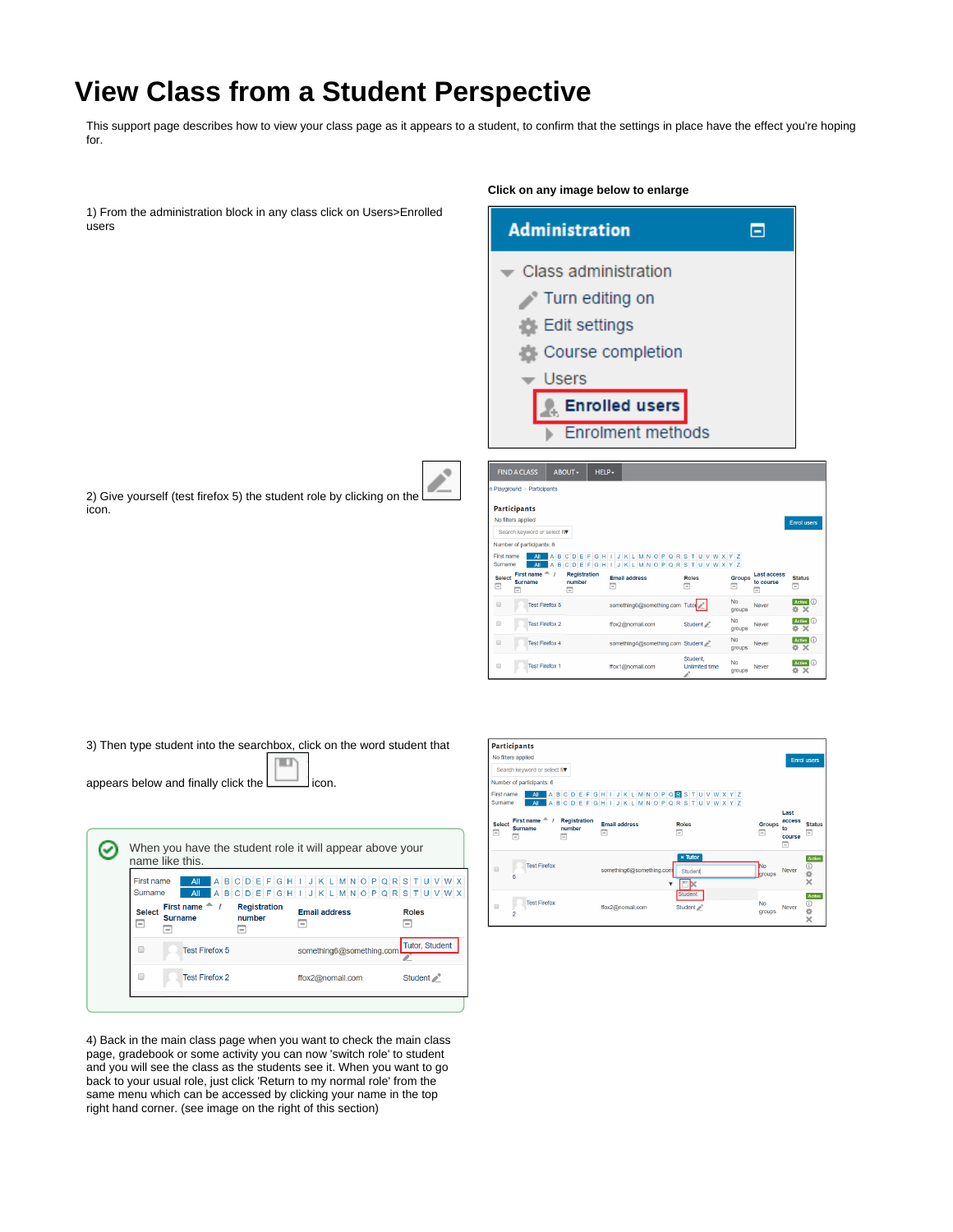## **View Class from a Student Perspective**

This support page describes how to view your class page as it appears to a student, to confirm that the settings in place have the effect you're hoping for.

|                                                                                | Click on any image below to enlarge                                                                                                                                                                                |  |  |
|--------------------------------------------------------------------------------|--------------------------------------------------------------------------------------------------------------------------------------------------------------------------------------------------------------------|--|--|
| 1) From the administration block in any class click on Users>Enrolled<br>users | <b>Administration</b><br>Θ                                                                                                                                                                                         |  |  |
|                                                                                | Class administration                                                                                                                                                                                               |  |  |
|                                                                                | Turn editing on                                                                                                                                                                                                    |  |  |
|                                                                                | Edit settings                                                                                                                                                                                                      |  |  |
|                                                                                | Course completion                                                                                                                                                                                                  |  |  |
|                                                                                | <b>Users</b>                                                                                                                                                                                                       |  |  |
|                                                                                | <b>Enrolled users</b><br>ъ.                                                                                                                                                                                        |  |  |
|                                                                                | <b>Enrolment methods</b>                                                                                                                                                                                           |  |  |
| 2) Give yourself (test firefox 5) the student role by clicking on the          | ABOUT-<br>HELP-<br><b>FIND A CLASS</b><br>1 Playground > Participants                                                                                                                                              |  |  |
| icon.                                                                          | Participants                                                                                                                                                                                                       |  |  |
|                                                                                | No filters applied<br><b>Enrol</b> users<br>Search keyword or select fil                                                                                                                                           |  |  |
|                                                                                | Number of participants: 6                                                                                                                                                                                          |  |  |
|                                                                                | STUVWXYZ<br><b>First name</b><br>$\circ$<br>o<br>Surname<br><b>VWXYZ</b>                                                                                                                                           |  |  |
|                                                                                | First name $\triangle$<br><b>Registration</b><br>Last access<br><b>Select</b><br><b>Email address</b><br><b>Roles</b><br><b>Groups</b><br>number<br><b>Surname</b><br>to course<br>Е<br>Ξ<br>Ξ<br>Ξ<br>Ξ<br>⊟<br>≂ |  |  |
|                                                                                | No<br>$\qquad \qquad \Box$<br>something6@something.com Tutor<br><b>Test Firefox 5</b><br>Never<br><b>groups</b>                                                                                                    |  |  |

Test Firefox 2

Test Firefox 4

**Test Firefox 1** 

3) Then type student into the searchbox, click on the word student that

шı appears below and finally click the  $\Box$ icon.

| When you have the student role it will appear above your<br>name like this.                                                                                              |                                                      |                       |  |
|--------------------------------------------------------------------------------------------------------------------------------------------------------------------------|------------------------------------------------------|-----------------------|--|
| First name<br>All<br>Sumame<br>All                                                                                                                                       | ABCDEFGHIJKLMNOPQRSTUVWX<br>ABCDEFGHIJKLMNOPQRSTUVWX |                       |  |
| First name $A$ /<br><b>Registration</b><br><b>Select</b><br>number<br><b>Surname</b><br>$\overline{\phantom{a}}$<br>$\overline{\phantom{a}}$<br>$\overline{\phantom{a}}$ | <b>Email address</b><br>i —                          | <b>Roles</b><br>-     |  |
| <b>Test Firefox 5</b><br>□                                                                                                                                               | something6@something.com                             | <b>Tutor, Student</b> |  |
| $\Box$<br><b>Test Firefox 2</b>                                                                                                                                          | ffox2@nomail.com                                     | Student 2°            |  |
|                                                                                                                                                                          |                                                      |                       |  |

4) Back in the main class page when you want to check the main class page, gradebook or some activity you can now 'switch role' to student and you will see the class as the students see it. When you want to go back to your usual role, just click 'Return to my normal role' from the same menu which can be accessed by clicking your name in the top right hand corner. (see image on the right of this section)



ffox1@nomail.com

Studen

Unlimited time

 $\begin{array}{l|l} \hline \text{Active} & \textcircled{\scriptsize{1}} \\ \hline \text{type} & \text{X} \end{array}$ 

Active  $\bigcirc$ 

Active  $\bigcirc$ <br> $\Rightarrow$  X

Neve